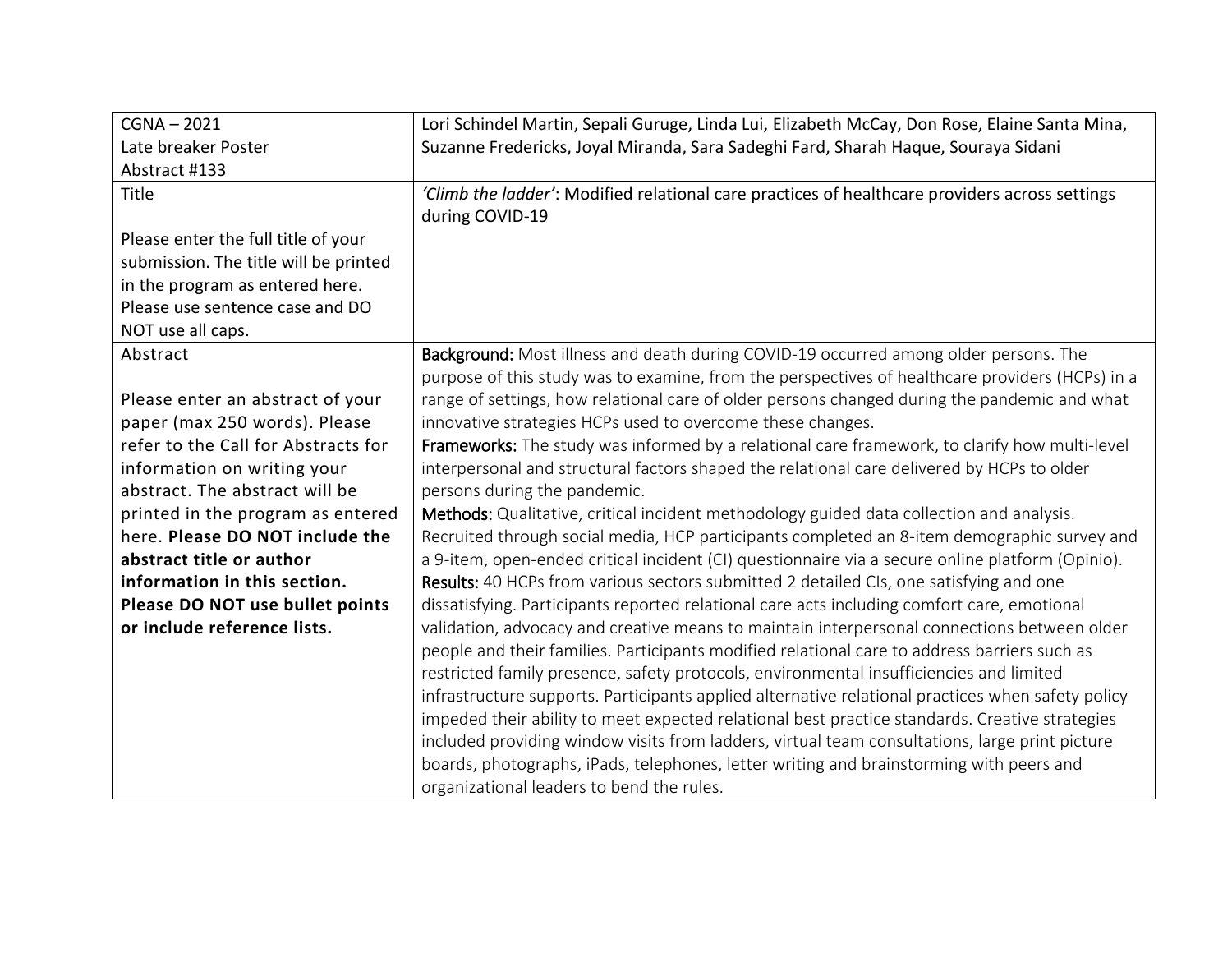| $CGNA - 2021$                         | Lori Schindel Martin, Sepali Guruge, Linda Lui, Elizabeth McCay, Don Rose, Elaine Santa Mina,     |
|---------------------------------------|---------------------------------------------------------------------------------------------------|
| Late breaker Poster                   | Suzanne Fredericks, Joyal Miranda, Sara Sadeghi Fard, Sharah Haque, Souraya Sidani                |
| Abstract #133                         |                                                                                                   |
| Title                                 | 'Climb the ladder': Modified relational care practices of healthcare providers across settings    |
|                                       | during COVID-19                                                                                   |
| Please enter the full title of your   |                                                                                                   |
| submission. The title will be printed |                                                                                                   |
| in the program as entered here.       |                                                                                                   |
| Please use sentence case and DO       |                                                                                                   |
| NOT use all caps.                     |                                                                                                   |
| Abstract                              | Background: Most illness and death during COVID-19 occurred among older persons. The              |
|                                       | purpose of this study was to examine, from the perspectives of healthcare providers (HCPs) in a   |
| Please enter an abstract of your      | range of settings, how relational care of older persons changed during the pandemic and what      |
| paper (max 250 words). Please         | innovative strategies HCPs used to overcome these changes.                                        |
| refer to the Call for Abstracts for   | Frameworks: The study was informed by a relational care framework, to clarify how multi-level     |
| information on writing your           | interpersonal and structural factors shaped the relational care delivered by HCPs to older        |
| abstract. The abstract will be        | persons during the pandemic.                                                                      |
| printed in the program as entered     | Methods: Qualitative, critical incident methodology guided data collection and analysis.          |
| here. Please DO NOT include the       | Recruited through social media, HCP participants completed an 8-item demographic survey and       |
| abstract title or author              | a 9-item, open-ended critical incident (CI) questionnaire via a secure online platform (Opinio).  |
| information in this section.          | Results: 40 HCPs from various sectors submitted 2 detailed CIs, one satisfying and one            |
| Please DO NOT use bullet points       | dissatisfying. Participants reported relational care acts including comfort care, emotional       |
| or include reference lists.           | validation, advocacy and creative means to maintain interpersonal connections between older       |
|                                       | people and their families. Participants modified relational care to address barriers such as      |
|                                       | restricted family presence, safety protocols, environmental insufficiencies and limited           |
|                                       | infrastructure supports. Participants applied alternative relational practices when safety policy |
|                                       | impeded their ability to meet expected relational best practice standards. Creative strategies    |
|                                       | included providing window visits from ladders, virtual team consultations, large print picture    |
|                                       | boards, photographs, iPads, telephones, letter writing and brainstorming with peers and           |
|                                       | organizational leaders to bend the rules.                                                         |